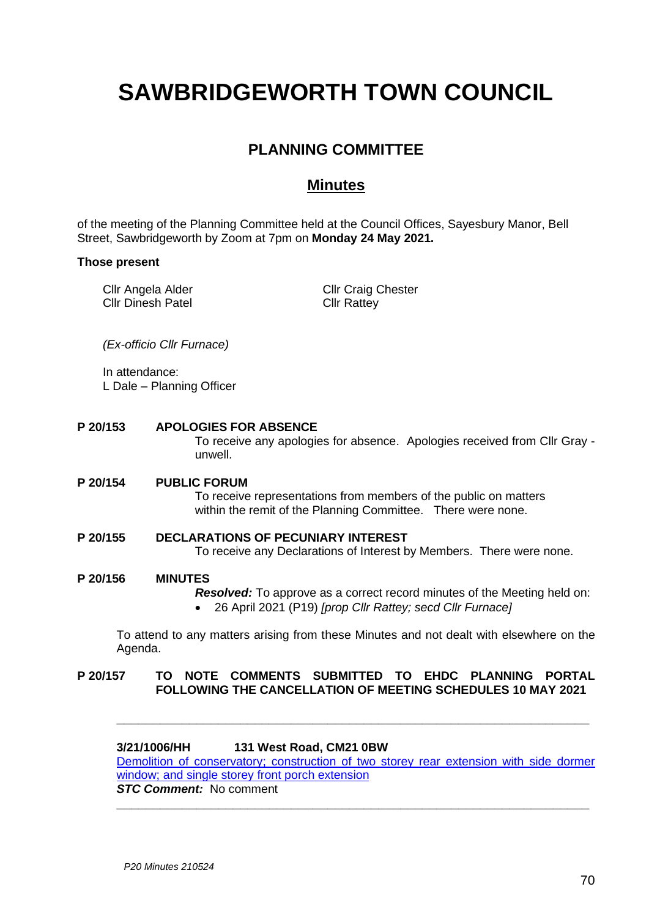# **SAWBRIDGEWORTH TOWN COUNCIL**

# **PLANNING COMMITTEE**

# **Minutes**

of the meeting of the Planning Committee held at the Council Offices, Sayesbury Manor, Bell Street, Sawbridgeworth by Zoom at 7pm on **Monday 24 May 2021.**

#### **Those present**

Cllr Angela Alder Cllr Dinesh Patel Cllr Craig Chester Cllr Rattey

*(Ex-officio Cllr Furnace)*

In attendance: L Dale – Planning Officer

**P 20/153 APOLOGIES FOR ABSENCE**

To receive any apologies for absence. Apologies received from Cllr Gray unwell.

#### **P 20/154 PUBLIC FORUM** To receive representations from members of the public on matters within the remit of the Planning Committee. There were none.

## **P 20/155 DECLARATIONS OF PECUNIARY INTEREST** To receive any Declarations of Interest by Members. There were none.

# **P 20/156 MINUTES**

*Resolved:* To approve as a correct record minutes of the Meeting held on: • 26 April 2021 (P19) *[prop Cllr Rattey; secd Cllr Furnace]*

To attend to any matters arising from these Minutes and not dealt with elsewhere on the Agenda.

## **P 20/157 TO NOTE COMMENTS SUBMITTED TO EHDC PLANNING PORTAL FOLLOWING THE CANCELLATION OF MEETING SCHEDULES 10 MAY 2021**

## **3/21/1006/HH 131 West Road, CM21 0BW**

Demolition [of conservatory; construction of two storey rear extension with side dormer](https://publicaccess.eastherts.gov.uk/online-applications/applicationDetails.do?activeTab=documents&keyVal=QRQZINGLM4W00)  [window; and single storey front porch extension](https://publicaccess.eastherts.gov.uk/online-applications/applicationDetails.do?activeTab=documents&keyVal=QRQZINGLM4W00) *STC Comment:* No comment

**\_\_\_\_\_\_\_\_\_\_\_\_\_\_\_\_\_\_\_\_\_\_\_\_\_\_\_\_\_\_\_\_\_\_\_\_\_\_\_\_\_\_\_\_\_\_\_\_\_\_\_\_\_\_\_\_\_\_\_\_\_\_\_\_\_**

**\_\_\_\_\_\_\_\_\_\_\_\_\_\_\_\_\_\_\_\_\_\_\_\_\_\_\_\_\_\_\_\_\_\_\_\_\_\_\_\_\_\_\_\_\_\_\_\_\_\_\_\_\_\_\_\_\_\_\_\_\_\_\_\_\_**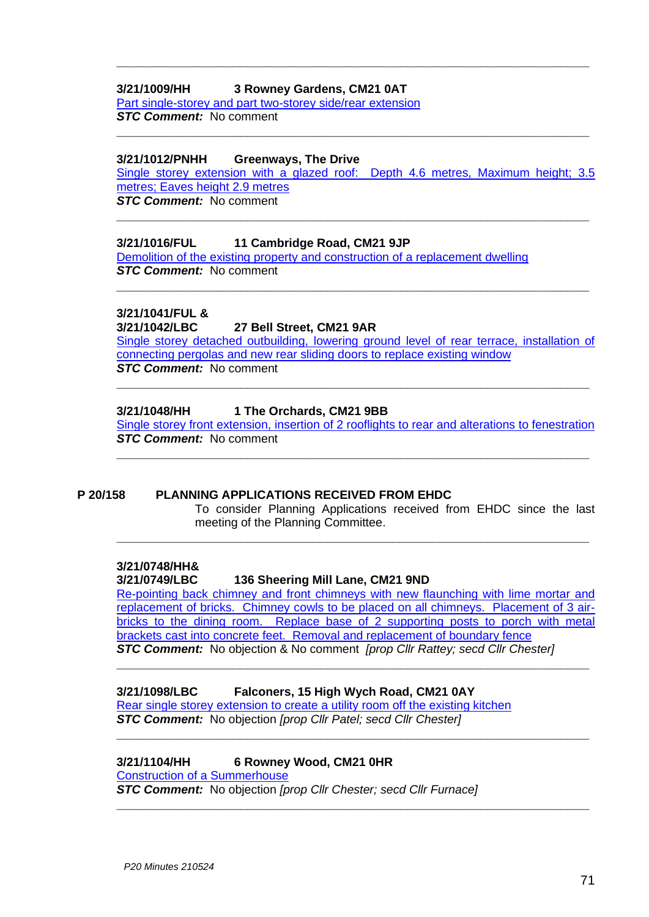## **3/21/1009/HH 3 Rowney Gardens, CM21 0AT**

[Part single-storey and part two-storey side/rear extension](https://publicaccess.eastherts.gov.uk/online-applications/applicationDetails.do?activeTab=documents&keyVal=QRSU7BGLM5500) *STC Comment:* No comment

#### **3/21/1012/PNHH Greenways, The Drive**

[Single storey extension with a glazed roof: Depth 4.6 metres, Maximum height; 3.5](https://publicaccess.eastherts.gov.uk/online-applications/applicationDetails.do?activeTab=documents&keyVal=QRT3V1GL00X00)  metres; Faves height 2.9 metres *STC Comment:* No comment

**\_\_\_\_\_\_\_\_\_\_\_\_\_\_\_\_\_\_\_\_\_\_\_\_\_\_\_\_\_\_\_\_\_\_\_\_\_\_\_\_\_\_\_\_\_\_\_\_\_\_\_\_\_\_\_\_\_\_\_\_\_\_\_\_\_**

**\_\_\_\_\_\_\_\_\_\_\_\_\_\_\_\_\_\_\_\_\_\_\_\_\_\_\_\_\_\_\_\_\_\_\_\_\_\_\_\_\_\_\_\_\_\_\_\_\_\_\_\_\_\_\_\_\_\_\_\_\_\_\_\_\_**

**\_\_\_\_\_\_\_\_\_\_\_\_\_\_\_\_\_\_\_\_\_\_\_\_\_\_\_\_\_\_\_\_\_\_\_\_\_\_\_\_\_\_\_\_\_\_\_\_\_\_\_\_\_\_\_\_\_\_\_\_\_\_\_\_\_**

#### **3/21/1016/FUL 11 Cambridge Road, CM21 9JP**

[Demolition of the existing property and construction of a replacement](https://publicaccess.eastherts.gov.uk/online-applications/applicationDetails.do?activeTab=documents&keyVal=QRT5BYGLM5F00) dwelling *STC Comment:* No comment

#### **3/21/1041/FUL &**

#### **3/21/1042/LBC 27 Bell Street, CM21 9AR**

[Single storey detached outbuilding, lowering ground level of rear terrace, installation of](https://publicaccess.eastherts.gov.uk/online-applications/applicationDetails.do?activeTab=documents&keyVal=QRWUN9GLM7S00)  [connecting pergolas and new rear sliding doors to](https://publicaccess.eastherts.gov.uk/online-applications/applicationDetails.do?activeTab=documents&keyVal=QRWUN9GLM7S00) replace existing window *STC Comment:* No comment

**\_\_\_\_\_\_\_\_\_\_\_\_\_\_\_\_\_\_\_\_\_\_\_\_\_\_\_\_\_\_\_\_\_\_\_\_\_\_\_\_\_\_\_\_\_\_\_\_\_\_\_\_\_\_\_\_\_\_\_\_\_\_\_\_\_**

**\_\_\_\_\_\_\_\_\_\_\_\_\_\_\_\_\_\_\_\_\_\_\_\_\_\_\_\_\_\_\_\_\_\_\_\_\_\_\_\_\_\_\_\_\_\_\_\_\_\_\_\_\_\_\_\_\_\_\_\_\_\_\_\_\_**

#### **3/21/1048/HH 1 The Orchards, CM21 9BB**

Single storey front extension, insertion of 2 [rooflights to rear and alterations to fenestration](https://publicaccess.eastherts.gov.uk/online-applications/applicationDetails.do?activeTab=documents&keyVal=QRX5TQGLM8B00) *STC Comment:* No comment

**\_\_\_\_\_\_\_\_\_\_\_\_\_\_\_\_\_\_\_\_\_\_\_\_\_\_\_\_\_\_\_\_\_\_\_\_\_\_\_\_\_\_\_\_\_\_\_\_\_\_\_\_\_\_\_\_\_\_\_\_\_\_\_\_\_**

**\_\_\_\_\_\_\_\_\_\_\_\_\_\_\_\_\_\_\_\_\_\_\_\_\_\_\_\_\_\_\_\_\_\_\_\_\_\_\_\_\_\_\_\_\_\_\_\_\_\_\_\_\_\_\_\_\_\_\_\_\_\_\_\_\_**

# **P 20/158 PLANNING APPLICATIONS RECEIVED FROM EHDC**

To consider Planning Applications received from EHDC since the last meeting of the Planning Committee.

# **3/21/0748/HH&**

**3/21/0749/LBC 136 Sheering Mill Lane, CM21 9ND**

[Re-pointing back chimney and front chimneys with new flaunching with lime mortar and](https://publicaccess.eastherts.gov.uk/online-applications/applicationDetails.do?activeTab=documents&keyVal=QQDOLFGLLN700)  [replacement of bricks. Chimney cowls to be placed on all chimneys. Placement of 3 air](https://publicaccess.eastherts.gov.uk/online-applications/applicationDetails.do?activeTab=documents&keyVal=QQDOLFGLLN700)[bricks to the dining room. Replace base of 2 supporting posts to porch with metal](https://publicaccess.eastherts.gov.uk/online-applications/applicationDetails.do?activeTab=documents&keyVal=QQDOLFGLLN700)  [brackets cast into concrete feet. Removal and replacement of boundary fence](https://publicaccess.eastherts.gov.uk/online-applications/applicationDetails.do?activeTab=documents&keyVal=QQDOLFGLLN700) *STC Comment:* No objection & No comment *[prop Cllr Rattey; secd Cllr Chester]*

**\_\_\_\_\_\_\_\_\_\_\_\_\_\_\_\_\_\_\_\_\_\_\_\_\_\_\_\_\_\_\_\_\_\_\_\_\_\_\_\_\_\_\_\_\_\_\_\_\_\_\_\_\_\_\_\_\_\_\_\_\_\_\_\_\_**

**\_\_\_\_\_\_\_\_\_\_\_\_\_\_\_\_\_\_\_\_\_\_\_\_\_\_\_\_\_\_\_\_\_\_\_\_\_\_\_\_\_\_\_\_\_\_\_\_\_\_\_\_\_\_\_\_\_\_\_\_\_\_\_\_\_**

**\_\_\_\_\_\_\_\_\_\_\_\_\_\_\_\_\_\_\_\_\_\_\_\_\_\_\_\_\_\_\_\_\_\_\_\_\_\_\_\_\_\_\_\_\_\_\_\_\_\_\_\_\_\_\_\_\_\_\_\_\_\_\_\_\_**

#### **3/21/1098/LBC Falconers, 15 High Wych Road, CM21 0AY**

[Rear single storey extension to create](https://publicaccess.eastherts.gov.uk/online-applications/applicationDetails.do?activeTab=documents&keyVal=QS7YNQGLMC600) a utility room off the existing kitchen *STC Comment:* No objection *[prop Cllr Patel; secd Cllr Chester]*

## **3/21/1104/HH 6 Rowney Wood, CM21 0HR**

[Construction of a Summerhouse](https://publicaccess.eastherts.gov.uk/online-applications/applicationDetails.do?activeTab=documents&keyVal=QS89XDGLMCO00)

*STC Comment:* No objection *[prop Cllr Chester; secd Cllr Furnace]*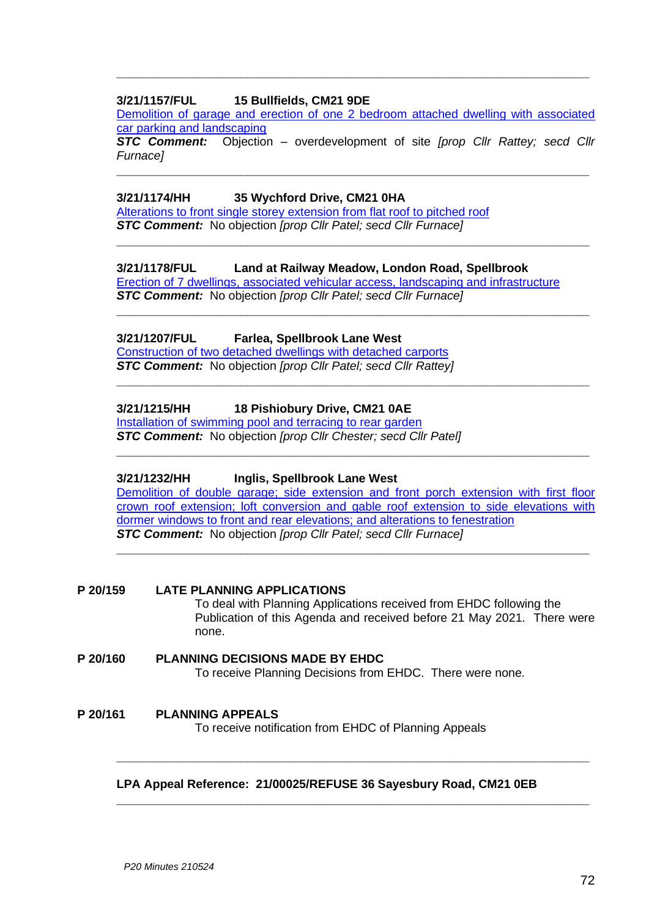## **3/21/1157/FUL 15 Bullfields, CM21 9DE**

[Demolition of garage and erection of one 2 bedroom attached dwelling with associated](https://publicaccess.eastherts.gov.uk/online-applications/applicationDetails.do?activeTab=documents&keyVal=QSIRHRGLMFY00)  [car parking and landscaping](https://publicaccess.eastherts.gov.uk/online-applications/applicationDetails.do?activeTab=documents&keyVal=QSIRHRGLMFY00)

**\_\_\_\_\_\_\_\_\_\_\_\_\_\_\_\_\_\_\_\_\_\_\_\_\_\_\_\_\_\_\_\_\_\_\_\_\_\_\_\_\_\_\_\_\_\_\_\_\_\_\_\_\_\_\_\_\_\_\_\_\_\_\_\_\_**

*STC Comment:* Objection – overdevelopment of site *[prop Cllr Rattey; secd Cllr Furnace]*

**\_\_\_\_\_\_\_\_\_\_\_\_\_\_\_\_\_\_\_\_\_\_\_\_\_\_\_\_\_\_\_\_\_\_\_\_\_\_\_\_\_\_\_\_\_\_\_\_\_\_\_\_\_\_\_\_\_\_\_\_\_\_\_\_\_**

**\_\_\_\_\_\_\_\_\_\_\_\_\_\_\_\_\_\_\_\_\_\_\_\_\_\_\_\_\_\_\_\_\_\_\_\_\_\_\_\_\_\_\_\_\_\_\_\_\_\_\_\_\_\_\_\_\_\_\_\_\_\_\_\_\_**

**\_\_\_\_\_\_\_\_\_\_\_\_\_\_\_\_\_\_\_\_\_\_\_\_\_\_\_\_\_\_\_\_\_\_\_\_\_\_\_\_\_\_\_\_\_\_\_\_\_\_\_\_\_\_\_\_\_\_\_\_\_\_\_\_\_**

**\_\_\_\_\_\_\_\_\_\_\_\_\_\_\_\_\_\_\_\_\_\_\_\_\_\_\_\_\_\_\_\_\_\_\_\_\_\_\_\_\_\_\_\_\_\_\_\_\_\_\_\_\_\_\_\_\_\_\_\_\_\_\_\_\_**

**\_\_\_\_\_\_\_\_\_\_\_\_\_\_\_\_\_\_\_\_\_\_\_\_\_\_\_\_\_\_\_\_\_\_\_\_\_\_\_\_\_\_\_\_\_\_\_\_\_\_\_\_\_\_\_\_\_\_\_\_\_\_\_\_\_**

#### **3/21/1174/HH 35 Wychford Drive, CM21 0HA**

[Alterations to front single storey extension from flat roof to pitched roof](https://publicaccess.eastherts.gov.uk/online-applications/applicationDetails.do?activeTab=documents&keyVal=QSL8J0GLMH100) *STC Comment:* No objection *[prop Cllr Patel; secd Cllr Furnace]*

# **3/21/1178/FUL Land at Railway Meadow, London Road, Spellbrook**

[Erection of 7 dwellings, associated vehicular access, landscaping and infrastructure](https://publicaccess.eastherts.gov.uk/online-applications/applicationDetails.do?activeTab=documents&keyVal=QSMGY0GLMHA00) *STC Comment:* No objection *[prop Cllr Patel; secd Cllr Furnace]*

# **3/21/1207/FUL Farlea, Spellbrook Lane West**

[Construction of two detached dwellings with detached carports](https://publicaccess.eastherts.gov.uk/online-applications/applicationDetails.do?activeTab=documents&keyVal=QSOMN0GLMJ500) *STC Comment:* No objection *[prop Cllr Patel; secd Cllr Rattey]*

## **3/21/1215/HH 18 Pishiobury Drive, CM21 0AE**

[Installation of swimming pool and terracing to rear garden](https://publicaccess.eastherts.gov.uk/online-applications/applicationDetails.do?activeTab=documents&keyVal=QSQ68PGLMJJ00) *STC Comment:* No objection *[prop Cllr Chester; secd Cllr Patel]*

## **3/21/1232/HH Inglis, Spellbrook Lane West**

[Demolition of double garage; side extension and front porch extension with first](https://publicaccess.eastherts.gov.uk/online-applications/applicationDetails.do?activeTab=documents&keyVal=QSS0Y3GLMKT00) floor [crown roof extension; loft conversion and gable roof extension to side](https://publicaccess.eastherts.gov.uk/online-applications/applicationDetails.do?activeTab=documents&keyVal=QSS0Y3GLMKT00) elevations with [dormer windows to front and rear elevations; and alterations to fenestration](https://publicaccess.eastherts.gov.uk/online-applications/applicationDetails.do?activeTab=documents&keyVal=QSS0Y3GLMKT00) *STC Comment:* No objection *[prop Cllr Patel; secd Cllr Furnace]*

**\_\_\_\_\_\_\_\_\_\_\_\_\_\_\_\_\_\_\_\_\_\_\_\_\_\_\_\_\_\_\_\_\_\_\_\_\_\_\_\_\_\_\_\_\_\_\_\_\_\_\_\_\_\_\_\_\_\_\_\_\_\_\_\_\_**

#### **P 20/159 LATE PLANNING APPLICATIONS** To deal with Planning Applications received from EHDC following the Publication of this Agenda and received before 21 May 2021. There were none.

**P 20/160 PLANNING DECISIONS MADE BY EHDC** To receive Planning Decisions from EHDC. There were none.

# **P 20/161 PLANNING APPEALS** To receive notification from EHDC of Planning Appeals

## **LPA Appeal Reference: 21/00025/REFUSE 36 Sayesbury Road, CM21 0EB**

**\_\_\_\_\_\_\_\_\_\_\_\_\_\_\_\_\_\_\_\_\_\_\_\_\_\_\_\_\_\_\_\_\_\_\_\_\_\_\_\_\_\_\_\_\_\_\_\_\_\_\_\_\_\_\_\_\_\_\_\_\_\_\_\_\_**

**\_\_\_\_\_\_\_\_\_\_\_\_\_\_\_\_\_\_\_\_\_\_\_\_\_\_\_\_\_\_\_\_\_\_\_\_\_\_\_\_\_\_\_\_\_\_\_\_\_\_\_\_\_\_\_\_\_\_\_\_\_\_\_\_\_**